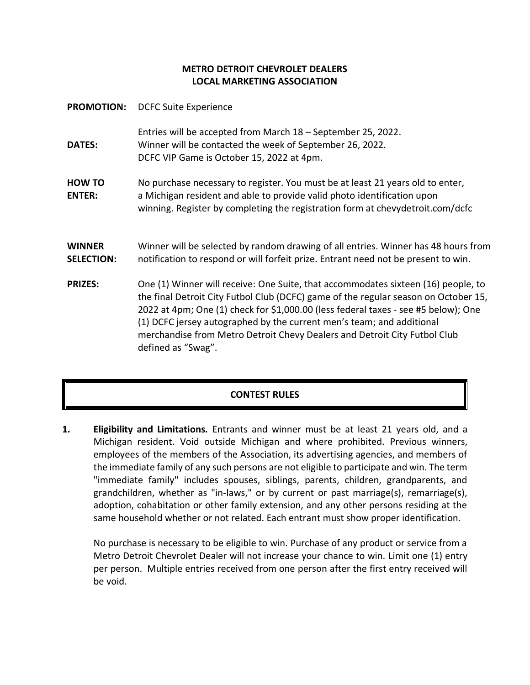## **METRO DETROIT CHEVROLET DEALERS LOCAL MARKETING ASSOCIATION**

**PROMOTION:** DCFC Suite Experience **DATES:** Entries will be accepted from March 18 – September 25, 2022. Winner will be contacted the week of September 26, 2022. DCFC VIP Game is October 15, 2022 at 4pm. **HOW TO ENTER:** No purchase necessary to register. You must be at least 21 years old to enter, a Michigan resident and able to provide valid photo identification upon winning. Register by completing the registration form at chevydetroit.com/dcfc **WINNER SELECTION:** Winner will be selected by random drawing of all entries. Winner has 48 hours from notification to respond or will forfeit prize. Entrant need not be present to win. **PRIZES:** One (1) Winner will receive: One Suite, that accommodates sixteen (16) people, to the final Detroit City Futbol Club (DCFC) game of the regular season on October 15, 2022 at 4pm; One (1) check for \$1,000.00 (less federal taxes - see #5 below); One (1) DCFC jersey autographed by the current men's team; and additional merchandise from Metro Detroit Chevy Dealers and Detroit City Futbol Club defined as "Swag".

## **CONTEST RULES**

**1. Eligibility and Limitations.** Entrants and winner must be at least 21 years old, and a Michigan resident. Void outside Michigan and where prohibited. Previous winners, employees of the members of the Association, its advertising agencies, and members of the immediate family of any such persons are not eligible to participate and win. The term "immediate family" includes spouses, siblings, parents, children, grandparents, and grandchildren, whether as "in-laws," or by current or past marriage(s), remarriage(s), adoption, cohabitation or other family extension, and any other persons residing at the same household whether or not related. Each entrant must show proper identification.

No purchase is necessary to be eligible to win. Purchase of any product or service from a Metro Detroit Chevrolet Dealer will not increase your chance to win. Limit one (1) entry per person. Multiple entries received from one person after the first entry received will be void.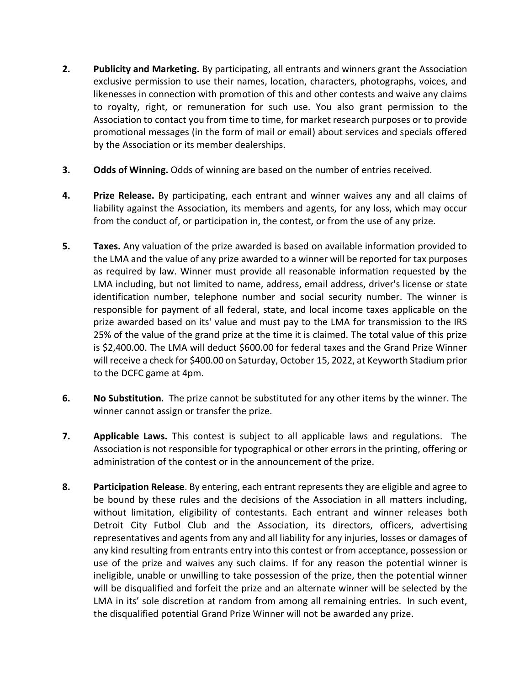- **2. Publicity and Marketing.** By participating, all entrants and winners grant the Association exclusive permission to use their names, location, characters, photographs, voices, and likenesses in connection with promotion of this and other contests and waive any claims to royalty, right, or remuneration for such use. You also grant permission to the Association to contact you from time to time, for market research purposes or to provide promotional messages (in the form of mail or email) about services and specials offered by the Association or its member dealerships.
- **3. Odds of Winning.** Odds of winning are based on the number of entries received.
- **4. Prize Release.** By participating, each entrant and winner waives any and all claims of liability against the Association, its members and agents, for any loss, which may occur from the conduct of, or participation in, the contest, or from the use of any prize.
- **5. Taxes.** Any valuation of the prize awarded is based on available information provided to the LMA and the value of any prize awarded to a winner will be reported for tax purposes as required by law. Winner must provide all reasonable information requested by the LMA including, but not limited to name, address, email address, driver's license or state identification number, telephone number and social security number. The winner is responsible for payment of all federal, state, and local income taxes applicable on the prize awarded based on its' value and must pay to the LMA for transmission to the IRS 25% of the value of the grand prize at the time it is claimed. The total value of this prize is \$2,400.00. The LMA will deduct \$600.00 for federal taxes and the Grand Prize Winner will receive a check for \$400.00 on Saturday, October 15, 2022, at Keyworth Stadium prior to the DCFC game at 4pm.
- **6. No Substitution.** The prize cannot be substituted for any other items by the winner. The winner cannot assign or transfer the prize.
- **7. Applicable Laws.** This contest is subject to all applicable laws and regulations. The Association is not responsible for typographical or other errors in the printing, offering or administration of the contest or in the announcement of the prize.
- **8. Participation Release**. By entering, each entrant represents they are eligible and agree to be bound by these rules and the decisions of the Association in all matters including, without limitation, eligibility of contestants. Each entrant and winner releases both Detroit City Futbol Club and the Association, its directors, officers, advertising representatives and agents from any and all liability for any injuries, losses or damages of any kind resulting from entrants entry into this contest or from acceptance, possession or use of the prize and waives any such claims. If for any reason the potential winner is ineligible, unable or unwilling to take possession of the prize, then the potential winner will be disqualified and forfeit the prize and an alternate winner will be selected by the LMA in its' sole discretion at random from among all remaining entries. In such event, the disqualified potential Grand Prize Winner will not be awarded any prize.